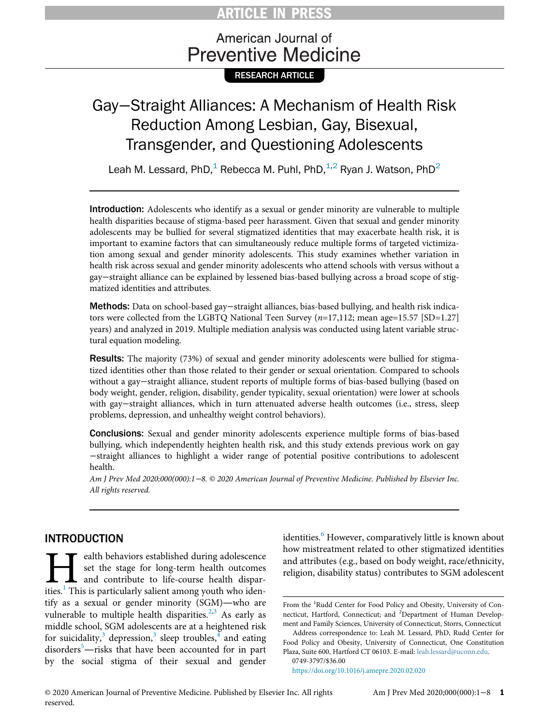# ARTICLE IN PRESS

# American Journal of **Preventive Medicine**

RESEARCH ARTICLE

# Gay−Straight Alliances: A Mechanism of Health Risk Reduction Among Lesbian, Gay, Bisexual, Transgender, and Questioning Adolescents

Leah M. Lessard, PhD, $^1$  Rebecca M. Puhl, PhD, $^{1,2}$  Ryan J. Watson, PhD<sup>2</sup>

Introduction: Adolescents who identify as a sexual or gender minority are vulnerable to multiple health disparities because of stigma-based peer harassment. Given that sexual and gender minority adolescents may be bullied for several stigmatized identities that may exacerbate health risk, it is important to examine factors that can simultaneously reduce multiple forms of targeted victimization among sexual and gender minority adolescents. This study examines whether variation in health risk across sexual and gender minority adolescents who attend schools with versus without a gay−straight alliance can be explained by lessened bias-based bullying across a broad scope of stigmatized identities and attributes.

Methods: Data on school-based gay−straight alliances, bias-based bullying, and health risk indicators were collected from the LGBTQ National Teen Survey  $(n=17,112;$  mean age=15.57 [SD=1.27] years) and analyzed in 2019. Multiple mediation analysis was conducted using latent variable structural equation modeling.

Results: The majority (73%) of sexual and gender minority adolescents were bullied for stigmatized identities other than those related to their gender or sexual orientation. Compared to schools without a gay−straight alliance, student reports of multiple forms of bias-based bullying (based on body weight, gender, religion, disability, gender typicality, sexual orientation) were lower at schools with gay−straight alliances, which in turn attenuated adverse health outcomes (i.e., stress, sleep problems, depression, and unhealthy weight control behaviors).

Conclusions: Sexual and gender minority adolescents experience multiple forms of bias-based bullying, which independently heighten health risk, and this study extends previous work on gay −straight alliances to highlight a wider range of potential positive contributions to adolescent health.

Am J Prev Med 2020;000(000):1−8. © 2020 American Journal of Preventive Medicine. Published by Elsevier Inc. All rights reserved.

# INTRODUCTION

Example 1 alth behaviors established during adolescence<br>set the stage for long-term health outcomes<br>and contribute to life-course health dispar-<br>ities.<sup>1</sup> This is particularly salient among youth who idenset the stage for long-term health outcomes and contribute to life-course health disparities.<sup>1</sup> This is particularly salient among youth who identify as a sexual or gender minority (SGM)—who are vulnerable to multiple health disparities.<sup>[2](#page-6-1),[3](#page-6-2)</sup> As early as middle school, SGM adolescents are at a heightened risk for suicidality,<sup>[3](#page-6-2)</sup> depression,<sup>3</sup> sleep troubles,<sup>[4](#page-6-3)</sup> and eating disorders<sup>[5](#page-6-4)</sup>—risks that have been accounted for in part by the social stigma of their sexual and gender identities.<sup>[6](#page-6-5)</sup> However, comparatively little is known about how mistreatment related to other stigmatized identities and attributes (e.g., based on body weight, race/ethnicity, religion, disability status) contributes to SGM adolescent

0749-3797/\$36.00

<https://doi.org/10.1016/j.amepre.2020.02.020>

From the <sup>1</sup>Rudd Center for Food Policy and Obesity, University of Connecticut, Hartford, Connecticut; and <sup>2</sup>Department of Human Development and Family Sciences, University of Connecticut, Storrs, Connecticut

Address correspondence to: Leah M. Lessard, PhD, Rudd Center for Food Policy and Obesity, University of Connecticut, One Constitution Plaza, Suite 600, Hartford CT 06103. E-mail: [leah.lessard@uconn.edu.](mailto:leah.lessard@uconn.edu)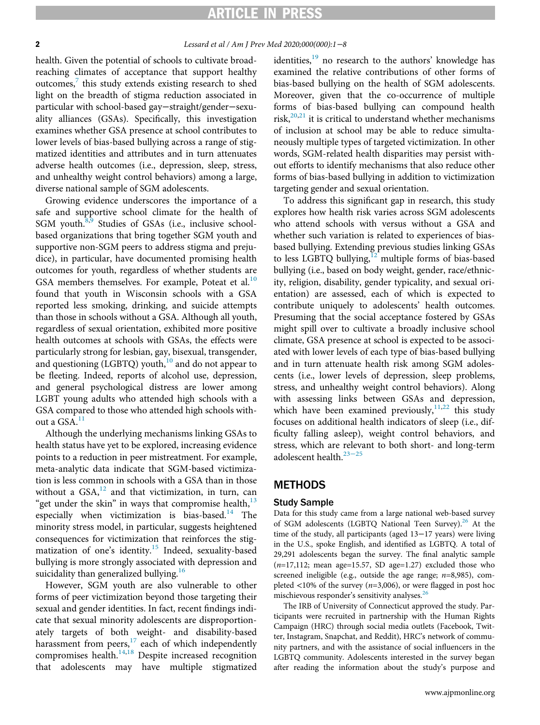### RTICLE IN PRESS

### 2 *Lessard et al / Am J Prev Med 2020;000(000):1* −8

health. Given the potential of schools to cultivate broadreaching climates of acceptance that support healthy outcomes, $\frac{7}{7}$  $\frac{7}{7}$  $\frac{7}{7}$  this study extends existing research to shed light on the breadth of stigma reduction associated in particular with school-based gay−straight/gender−sexuality alliances (GSAs). Specifically, this investigation examines whether GSA presence at school contributes to lower levels of bias-based bullying across a range of stigmatized identities and attributes and in turn attenuates adverse health outcomes (i.e., depression, sleep, stress, and unhealthy weight control behaviors) among a large, diverse national sample of SGM adolescents.

Growing evidence underscores the importance of a safe and supportive school climate for the health of SGM youth.<sup>[8,](#page-6-7)[9](#page-6-8)</sup> Studies of GSAs (i.e., inclusive schoolbased organizations that bring together SGM youth and supportive non-SGM peers to address stigma and prejudice), in particular, have documented promising health outcomes for youth, regardless of whether students are GSA members themselves. For example, Poteat et al.<sup>[10](#page-6-9)</sup> found that youth in Wisconsin schools with a GSA reported less smoking, drinking, and suicide attempts than those in schools without a GSA. Although all youth, regardless of sexual orientation, exhibited more positive health outcomes at schools with GSAs, the effects were particularly strong for lesbian, gay, bisexual, transgender, and questioning  $(LGBTQ)$  youth,<sup>[10](#page-6-9)</sup> and do not appear to be fleeting. Indeed, reports of alcohol use, depression, and general psychological distress are lower among LGBT young adults who attended high schools with a GSA compared to those who attended high schools without a  $GSA^{11}$  $GSA^{11}$  $GSA^{11}$ 

Although the underlying mechanisms linking GSAs to health status have yet to be explored, increasing evidence points to a reduction in peer mistreatment. For example, meta-analytic data indicate that SGM-based victimization is less common in schools with a GSA than in those without a  $GSA$ <sup>[12](#page-6-11)</sup> and that victimization, in turn, can "get under the skin" in ways that compromise health, $^{13}$  $^{13}$  $^{13}$ especially when victimization is bias-based.<sup>[14](#page-6-13)</sup> The minority stress model, in particular, suggests heightened consequences for victimization that reinforces the stig-matization of one's identity.<sup>[15](#page-6-14)</sup> Indeed, sexuality-based bullying is more strongly associated with depression and suicidality than generalized bullying.<sup>[16](#page-6-15)</sup>

However, SGM youth are also vulnerable to other forms of peer victimization beyond those targeting their sexual and gender identities. In fact, recent findings indicate that sexual minority adolescents are disproportionately targets of both weight- and disability-based harassment from peers,<sup>[17](#page-6-16)</sup> each of which independently compromises health. $14,18$  $14,18$  Despite increased recognition that adolescents may have multiple stigmatized identities,<sup>[19](#page-6-18)</sup> no research to the authors' knowledge has examined the relative contributions of other forms of bias-based bullying on the health of SGM adolescents. Moreover, given that the co-occurrence of multiple forms of bias-based bullying can compound health risk, $2^{0,21}$  $2^{0,21}$  $2^{0,21}$  it is critical to understand whether mechanisms of inclusion at school may be able to reduce simultaneously multiple types of targeted victimization. In other words, SGM-related health disparities may persist without efforts to identify mechanisms that also reduce other forms of bias-based bullying in addition to victimization targeting gender and sexual orientation.

To address this significant gap in research, this study explores how health risk varies across SGM adolescents who attend schools with versus without a GSA and whether such variation is related to experiences of biasbased bullying. Extending previous studies linking GSAs to less LGBTQ bullying, $12$  multiple forms of bias-based bullying (i.e., based on body weight, gender, race/ethnicity, religion, disability, gender typicality, and sexual orientation) are assessed, each of which is expected to contribute uniquely to adolescents' health outcomes. Presuming that the social acceptance fostered by GSAs might spill over to cultivate a broadly inclusive school climate, GSA presence at school is expected to be associated with lower levels of each type of bias-based bullying and in turn attenuate health risk among SGM adolescents (i.e., lower levels of depression, sleep problems, stress, and unhealthy weight control behaviors). Along with assessing links between GSAs and depression, which have been examined previously, $11,22$  $11,22$  this study focuses on additional health indicators of sleep (i.e., difficulty falling asleep), weight control behaviors, and stress, which are relevant to both short- and long-term adolescent health. $23-25$  $23-25$ 

### **METHODS**

### Study Sample

Data for this study came from a large national web-based survey of SGM adolescents (LGBTQ National Teen Survey).<sup>[26](#page-7-1)</sup> At the time of the study, all participants (aged 13−17 years) were living in the U.S., spoke English, and identified as LGBTQ. A total of 29,291 adolescents began the survey. The final analytic sample  $(n=17,112;$  mean age=15.57, SD age=1.27) excluded those who screened ineligible (e.g., outside the age range;  $n=8,985$ ), completed  $<10\%$  of the survey ( $n=3,006$ ), or were flagged in post hoc mischievous responder's sensitivity analyses. $^{26}$  $^{26}$  $^{26}$ 

The IRB of University of Connecticut approved the study. Participants were recruited in partnership with the Human Rights Campaign (HRC) through social media outlets (Facebook, Twitter, Instagram, Snapchat, and Reddit), HRC's network of community partners, and with the assistance of social influencers in the LGBTQ community. Adolescents interested in the survey began after reading the information about the study's purpose and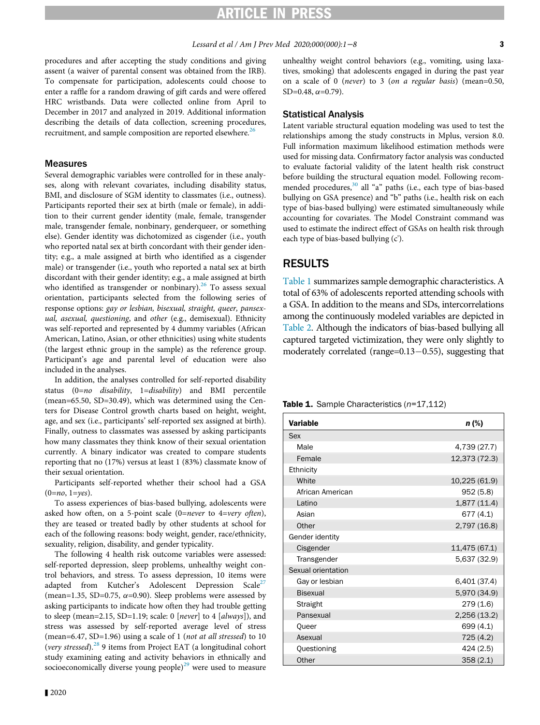procedures and after accepting the study conditions and giving assent (a waiver of parental consent was obtained from the IRB). To compensate for participation, adolescents could choose to enter a raffle for a random drawing of gift cards and were offered HRC wristbands. Data were collected online from April to December in 2017 and analyzed in 2019. Additional information describing the details of data collection, screening procedures, recruitment, and sample composition are reported elsewhere.<sup>[26](#page-7-1)</sup>

### Measures

Several demographic variables were controlled for in these analyses, along with relevant covariates, including disability status, BMI, and disclosure of SGM identity to classmates (i.e., outness). Participants reported their sex at birth (male or female), in addition to their current gender identity (male, female, transgender male, transgender female, nonbinary, genderqueer, or something else). Gender identity was dichotomized as cisgender (i.e., youth who reported natal sex at birth concordant with their gender identity; e.g., a male assigned at birth who identified as a cisgender male) or transgender (i.e., youth who reported a natal sex at birth discordant with their gender identity; e.g., a male assigned at birth who identified as transgender or nonbinary). $^{26}$  $^{26}$  $^{26}$  To assess sexual orientation, participants selected from the following series of response options: gay or lesbian, bisexual, straight, queer, pansexual, asexual, questioning, and other (e.g., demisexual). Ethnicity was self-reported and represented by 4 dummy variables (African American, Latino, Asian, or other ethnicities) using white students (the largest ethnic group in the sample) as the reference group. Participant's age and parental level of education were also included in the analyses.

<span id="page-2-0"></span>In addition, the analyses controlled for self-reported disability status  $(0=n\sigma \text{ disability}, 1=disability)$  and BMI percentile (mean=65.50, SD=30.49), which was determined using the Centers for Disease Control growth charts based on height, weight, age, and sex (i.e., participants' self-reported sex assigned at birth). Finally, outness to classmates was assessed by asking participants how many classmates they think know of their sexual orientation currently. A binary indicator was created to compare students reporting that no (17%) versus at least 1 (83%) classmate know of their sexual orientation.

Participants self-reported whether their school had a GSA  $(0=no, 1=ves).$ 

To assess experiences of bias-based bullying, adolescents were asked how often, on a 5-point scale (0=never to  $4=very$  often), they are teased or treated badly by other students at school for each of the following reasons: body weight, gender, race/ethnicity, sexuality, religion, disability, and gender typicality.

The following 4 health risk outcome variables were assessed: self-reported depression, sleep problems, unhealthy weight control behaviors, and stress. To assess depression, 10 items were adapted from Kutcher's Adolescent Depression Scale<sup>27</sup> (mean=1.35, SD=0.75,  $\alpha$ =0.90). Sleep problems were assessed by asking participants to indicate how often they had trouble getting to sleep (mean=2.15, SD=1.19; scale: 0 [never] to 4 [always]), and stress was assessed by self-reported average level of stress (mean=6.47, SD=1.96) using a scale of 1 (not at all stressed) to 10 (very stressed). $^{28}$  $^{28}$  $^{28}$  9 items from Project EAT (a longitudinal cohort study examining eating and activity behaviors in ethnically and socioeconomically diverse young people) $^{29}$  $^{29}$  $^{29}$  were used to measure

unhealthy weight control behaviors (e.g., vomiting, using laxatives, smoking) that adolescents engaged in during the past year on a scale of 0 (never) to 3 (on a regular basis) (mean=0.50,  $SD=0.48$ ,  $\alpha=0.79$ ).

#### Statistical Analysis

Latent variable structural equation modeling was used to test the relationships among the study constructs in Mplus, version 8.0. Full information maximum likelihood estimation methods were used for missing data. Confirmatory factor analysis was conducted to evaluate factorial validity of the latent health risk construct before building the structural equation model. Following recom-mended procedures,<sup>[30](#page-7-5)</sup> all "a" paths (i.e., each type of bias-based bullying on GSA presence) and "b" paths (i.e., health risk on each type of bias-based bullying) were estimated simultaneously while accounting for covariates. The Model Constraint command was used to estimate the indirect effect of GSAs on health risk through each type of bias-based bullying (c').

### RESULTS

[Table 1](#page-2-0) summarizes sample demographic characteristics. A total of 63% of adolescents reported attending schools with a GSA. In addition to the means and SDs, intercorrelations among the continuously modeled variables are depicted in [Table 2](#page-3-0). Although the indicators of bias-based bullying all captured targeted victimization, they were only slightly to moderately correlated (range= $0.13-0.55$ ), suggesting that

Table 1. Sample Characteristics  $(n=17,112)$ 

| <b>Variable</b>    | $n$ (%)       |
|--------------------|---------------|
| Sex                |               |
| Male               | 4,739 (27.7)  |
| Female             | 12,373 (72.3) |
| Ethnicity          |               |
| White              | 10,225 (61.9) |
| African American   | 952(5.8)      |
| Latino             | 1,877(11.4)   |
| Asian              | 677 (4.1)     |
| Other              | 2,797 (16.8)  |
| Gender identity    |               |
| Cisgender          | 11,475 (67.1) |
| Transgender        | 5,637 (32.9)  |
| Sexual orientation |               |
| Gay or lesbian     | 6,401 (37.4)  |
| <b>Bisexual</b>    | 5,970 (34.9)  |
| Straight           | 279(1.6)      |
| Pansexual          | 2,256 (13.2)  |
| <b>Oueer</b>       | 699 (4.1)     |
| Asexual            | 725 (4.2)     |
| Questioning        | 424(2.5)      |
| Other              | 358(2.1)      |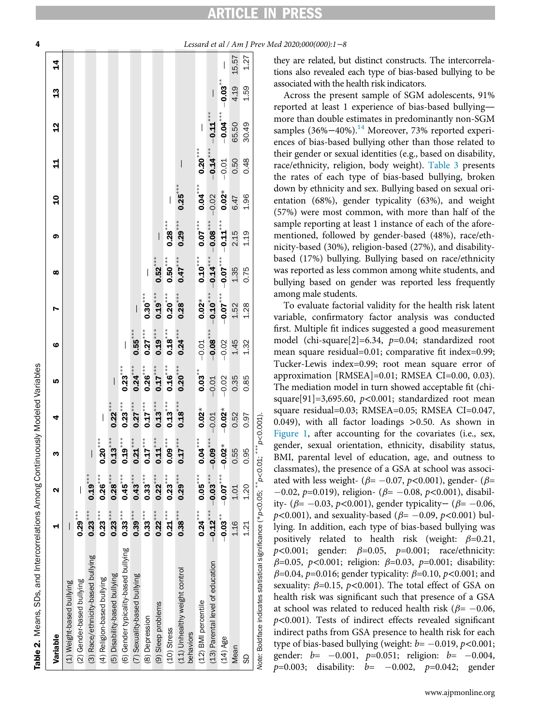Table 2. Means, SDs, and Intercorrelations Among Continuously Modeled Variables

Means, SDs, and Intercorrelations Among Continuously Modeled Variables

# **TICLE IN PRES**

<span id="page-3-0"></span>4 Lessard et al / Am J Prev Med 2020;000(000):1−8

| Variable                                                                           |             | ິ          | m          | 4            | LŅ        | $\bullet$    |               | œ            | <b>၈</b>                 | ទ         | 4          | <u>d</u>   | $\mathfrak{a}$ | $\frac{4}{3}$ |
|------------------------------------------------------------------------------------|-------------|------------|------------|--------------|-----------|--------------|---------------|--------------|--------------------------|-----------|------------|------------|----------------|---------------|
| (1) Weight-based bullying                                                          | I           |            |            |              |           |              |               |              |                          |           |            |            |                |               |
| (2) Gender-based bullying                                                          | $0.29***$   |            |            |              |           |              |               |              |                          |           |            |            |                |               |
| (3) Race/ethnicity-based bullying                                                  | $0.23***$   | $0.19***$  | $\vert$    |              |           |              |               |              |                          |           |            |            |                |               |
| (4) Religion-based bullying                                                        | $0.23***$   | $0.26$ *** | $0.20***$  | $\vert$      |           |              |               |              |                          |           |            |            |                |               |
| (5) Disability-based bullying                                                      | $0.23***$   | $0.28***$  | $0.13***$  | $0.22^{***}$ | $\vert$   |              |               |              |                          |           |            |            |                |               |
| (6) Gender typicality-based bullying                                               | $0.33***$   | $0.45***$  | $0.19***$  | $0.23***$    | $0.23***$ | I            |               |              |                          |           |            |            |                |               |
| (7) Sexuality-based bullying                                                       | $0.39***$   | $0.43***$  | $0.21***$  | $0.27***$    | $0.24***$ | $0.55^{***}$ | $\big $       |              |                          |           |            |            |                |               |
| (8) Depression                                                                     | $0.33***$   | $0.33***$  | $0.17***$  | $0.17***$    | $0.26***$ | $0.27***$    | $0.30***$     |              |                          |           |            |            |                |               |
| (9) Sleep problems                                                                 | $0.22***$   | $0.22***$  | $0.11***$  | $0.13***$    | $0.17***$ | $0.19***$    | $0.19***$     | $0.52***$    | $\overline{\phantom{a}}$ |           |            |            |                |               |
| (10) Stress                                                                        | $0.21***$   | $0.23***$  | $0.09***$  | $0.13***$    | $0.16***$ | $0.18***$    | $0.20***$     | $0.50^{***}$ | $0.28***$                |           |            |            |                |               |
| (11) Unhealthy weight control<br>behaviors                                         | $0.38***$   | $0.29***$  | $0.17***$  | $0.18***$    | $0.20***$ | $0.24***$    | $0.28***$     | $0.47***$    | $0.29***$                | $0.25***$ |            |            |                |               |
| (12) BMI percentile                                                                | $0.24***$   | $0.05***$  | $0.04***$  | $0.02*$      | $0.03***$ | $-0.01$      | $0.02*$       | $0.10***$    | $0.07***$                | $0.04***$ | $0.20***$  |            |                |               |
| (13) Parental level of education                                                   | $-0.12$ *** | $-0.03***$ | $-0.09***$ | $-0.01$      | $-0.01$   | $-0.08$ ***  | $-0.10^{***}$ | $-0.14***$   | $-0.08***$               | $-0.02$   | $-0.14***$ | $-0.11***$ |                |               |
| $(14)$ Age                                                                         | $-0.03***$  | $-0.07***$ | $-0.02*$   | $-0.02*$     | $-0.02$   | $-0.02$      | $-0.07***$    | $-0.07***$   | $-0.11***$               | $0.02*$   | $-0.01$    | $-0.04***$ | $-0.03**$      |               |
| Mean                                                                               | 1.16        | 1.01       | 0.55       | 0.52         | 0.35      | 1.45         | 1.52          | 1.35         | 2.15                     | 6.47      | 0.50       | 65.50      | 4.19           | 15.57         |
| 9                                                                                  | 1.21        | 1.20       | 0.95       | 0.97         | 0.85      | 1.32         | 1.28          | 0.75         | 1.19                     | 1.96      | 0.48       | 30.49      | 1.59           | 1.27          |
| Note: Boldface indicates statistical significance (*p<0.05; **p<0.01; ***p<0.001), |             |            |            |              |           |              |               |              |                          |           |            |            |                |               |

they are related, but distinct constructs. The intercorrelations also revealed each type of bias-based bullying to be associated with the health risk indicators.

Across the present sample of SGM adolescents, 91% reported at least 1 experience of bias-based bullying more than double estimates in predominantly non-SGM samples (36%–40%).<sup>[14](#page-6-13)</sup> Moreover, 73% reported experiences of bias-based bullying other than those related to their gender or sexual identities (e.g., based on disability, race/ethnicity, religion, body weight). [Table 3](#page-4-0) presents the rates of each type of bias-based bullying, broken down by ethnicity and sex. Bullying based on sexual orientation (68%), gender typicality (63%), and weight (57%) were most common, with more than half of the sample reporting at least 1 instance of each of the aforementioned, followed by gender-based (48%), race/ethnicity-based (30%), religion-based (27%), and disabilitybased (17%) bullying. Bullying based on race/ethnicity was reported as less common among white students, and bullying based on gender was reported less frequently among male students.

To evaluate factorial validity for the health risk latent variable, confirmatory factor analysis was conducted first. Multiple fit indices suggested a good measurement model (chi-square[2]=6.34,  $p=0.04$ ; standardized root mean square residual=0.01; comparative fit index=0.99; Tucker-Lewis index=0.99; root mean square error of approximation [RMSEA]=0.01; RMSEA CI=0.00, 0.03). The mediation model in turn showed acceptable fit (chisquare[91]=3,695.60,  $p$ <0.001; standardized root mean square residual=0.03; RMSEA=0.05; RMSEA CI=0.047, 0.049), with all factor loadings >0.50. As shown in [Figure 1](#page-4-1), after accounting for the covariates (i.e., sex, gender, sexual orientation, ethnicity, disability status, BMI, parental level of education, age, and outness to classmates), the presence of a GSA at school was associated with less weight- ( $\beta$ = -0.07, p<0.001), gender- ( $\beta$ =  $-0.02$ , p=0.019), religion- ( $\beta$ =  $-0.08$ , p<0.001), disability- ( $\beta$ = −0.03, p<0.001), gender typicality− ( $\beta$ = −0.06,  $p$ <0.001), and sexuality-based ( $\beta$ = -0.09,  $p$ <0.001) bullying. In addition, each type of bias-based bullying was positively related to health risk (weight:  $\beta=0.21$ ,  $p<0.001$ ; gender:  $\beta=0.05$ ,  $p=0.001$ ; race/ethnicity:  $\beta$ =0.05, p<0.001; religion:  $\beta$ =0.03, p=0.001; disability:  $\beta$ =0.04, p=0.016; gender typicality:  $\beta$ =0.10, p<0.001; and sexuality:  $\beta$ =0.15,  $p$ <0.001). The total effect of GSA on health risk was significant such that presence of a GSA at school was related to reduced health risk ( $\beta$ = -0.06,  $p<0.001$ ). Tests of indirect effects revealed significant indirect paths from GSA presence to health risk for each type of bias-based bullying (weight:  $b = -0.019$ ,  $p < 0.001$ ; gender:  $b = -0.001$ ,  $p=0.051$ ; religion:  $b = -0.004$ ,  $p=0.003$ ; disability:  $b=-0.002$ ,  $p=0.042$ ; gender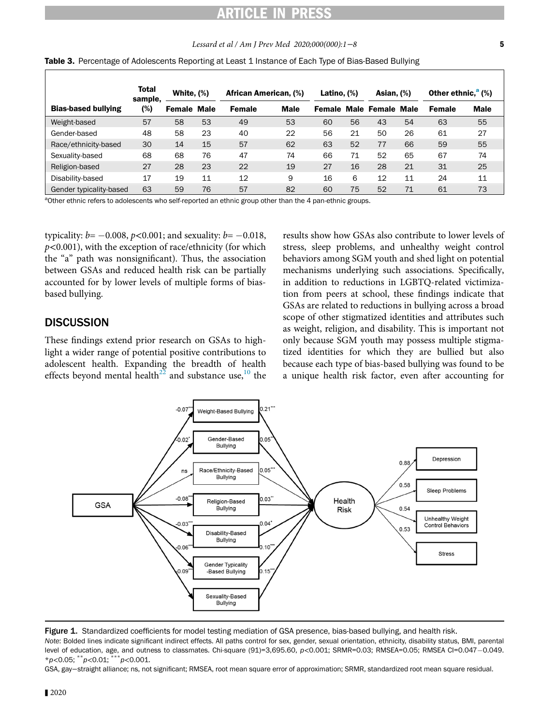# ICLE IN PR

### Lessard et al / Am J Prev Med 2020;000(000):1−8 5

<span id="page-4-0"></span>

|  |  |  | Table 3. Percentage of Adolescents Reporting at Least 1 Instance of Each Type of Bias-Based Bullying |  |
|--|--|--|------------------------------------------------------------------------------------------------------|--|
|--|--|--|------------------------------------------------------------------------------------------------------|--|

|                            | <b>Total</b><br>sample, | White, $(\%)$      |    | African American, (%) |             | Latino, $(\%)$ |    | Asian, $(\%)$                  |    | <b>Other ethnic,<sup>a</sup></b> (%) |             |
|----------------------------|-------------------------|--------------------|----|-----------------------|-------------|----------------|----|--------------------------------|----|--------------------------------------|-------------|
| <b>Bias-based bullying</b> | (%)                     | <b>Female Male</b> |    | <b>Female</b>         | <b>Male</b> |                |    | <b>Female Male Female Male</b> |    | <b>Female</b>                        | <b>Male</b> |
| Weight-based               | 57                      | 58                 | 53 | 49                    | 53          | 60             | 56 | 43                             | 54 | 63                                   | 55          |
| Gender-based               | 48                      | 58                 | 23 | 40                    | 22          | 56             | 21 | 50                             | 26 | 61                                   | 27          |
| Race/ethnicity-based       | 30                      | 14                 | 15 | 57                    | 62          | 63             | 52 | 77                             | 66 | 59                                   | 55          |
| Sexuality-based            | 68                      | 68                 | 76 | 47                    | 74          | 66             | 71 | 52                             | 65 | 67                                   | 74          |
| Religion-based             | 27                      | 28                 | 23 | 22                    | 19          | 27             | 16 | 28                             | 21 | 31                                   | 25          |
| Disability-based           | 17                      | 19                 | 11 | 12                    | 9           | 16             | 6  | 12                             | 11 | 24                                   | 11          |
| Gender typicality-based    | 63                      | 59                 | 76 | 57                    | 82          | 60             | 75 | 52                             | 71 | 61                                   | 73          |

<span id="page-4-2"></span><sup>a</sup>Other ethnic refers to adolescents who self-reported an ethnic group other than the 4 pan-ethnic groups.

typicality:  $b = -0.008$ ,  $p < 0.001$ ; and sexuality:  $b = -0.018$ ,  $p$ <0.001), with the exception of race/ethnicity (for which the "a" path was nonsignificant). Thus, the association between GSAs and reduced health risk can be partially accounted for by lower levels of multiple forms of biasbased bullying.

### **DISCUSSION**

These findings extend prior research on GSAs to highlight a wider range of potential positive contributions to adolescent health. Expanding the breadth of health effects beyond mental health<sup>[22](#page-6-21)</sup> and substance use,<sup>[10](#page-6-9)</sup> the results show how GSAs also contribute to lower levels of stress, sleep problems, and unhealthy weight control behaviors among SGM youth and shed light on potential mechanisms underlying such associations. Specifically, in addition to reductions in LGBTQ-related victimization from peers at school, these findings indicate that GSAs are related to reductions in bullying across a broad scope of other stigmatized identities and attributes such as weight, religion, and disability. This is important not only because SGM youth may possess multiple stigmatized identities for which they are bullied but also because each type of bias-based bullying was found to be a unique health risk factor, even after accounting for

<span id="page-4-1"></span>

Figure 1. Standardized coefficients for model testing mediation of GSA presence, bias-based bullying, and health risk.

Note: Bolded lines indicate significant indirect effects. All paths control for sex, gender, sexual orientation, ethnicity, disability status, BMI, parental level of education, age, and outness to classmates. Chi-square (91)=3,695.60,  $p<0.001$ ; SRMR=0.03; RMSEA=0.05; RMSEA CI=0.047-0.049.  $*_{p<0.05}$ ;  $*_{p<0.01}$ ;  $**_{p<0.001}$ .

GSA, gay−straight alliance; ns, not significant; RMSEA, root mean square error of approximation; SRMR, standardized root mean square residual.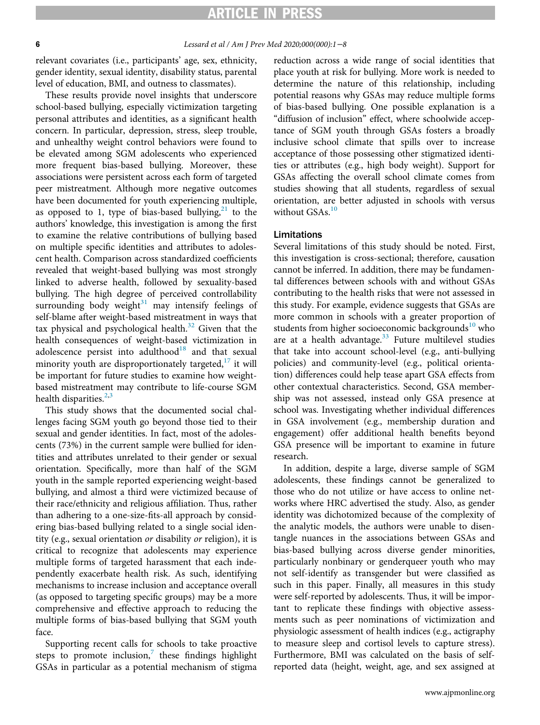## ARTICLE IN PRES:

### 6 Lessard et al / Am J Prev Med 2020;000(000):1−8

relevant covariates (i.e., participants' age, sex, ethnicity, gender identity, sexual identity, disability status, parental level of education, BMI, and outness to classmates).

These results provide novel insights that underscore school-based bullying, especially victimization targeting personal attributes and identities, as a significant health concern. In particular, depression, stress, sleep trouble, and unhealthy weight control behaviors were found to be elevated among SGM adolescents who experienced more frequent bias-based bullying. Moreover, these associations were persistent across each form of targeted peer mistreatment. Although more negative outcomes have been documented for youth experiencing multiple, as opposed to 1, type of bias-based bullying, $^{21}$  $^{21}$  $^{21}$  to the authors' knowledge, this investigation is among the first to examine the relative contributions of bullying based on multiple specific identities and attributes to adolescent health. Comparison across standardized coefficients revealed that weight-based bullying was most strongly linked to adverse health, followed by sexuality-based bullying. The high degree of perceived controllability surrounding body weight $31$  may intensify feelings of self-blame after weight-based mistreatment in ways that tax physical and psychological health. $32$  Given that the health consequences of weight-based victimization in adolescence persist into adulthood<sup>[18](#page-6-17)</sup> and that sexual minority youth are disproportionately targeted, $17$  it will be important for future studies to examine how weightbased mistreatment may contribute to life-course SGM health disparities.<sup>[2](#page-6-1),[3](#page-6-2)</sup>

This study shows that the documented social challenges facing SGM youth go beyond those tied to their sexual and gender identities. In fact, most of the adolescents (73%) in the current sample were bullied for identities and attributes unrelated to their gender or sexual orientation. Specifically, more than half of the SGM youth in the sample reported experiencing weight-based bullying, and almost a third were victimized because of their race/ethnicity and religious affiliation. Thus, rather than adhering to a one-size-fits-all approach by considering bias-based bullying related to a single social identity (e.g., sexual orientation or disability or religion), it is critical to recognize that adolescents may experience multiple forms of targeted harassment that each independently exacerbate health risk. As such, identifying mechanisms to increase inclusion and acceptance overall (as opposed to targeting specific groups) may be a more comprehensive and effective approach to reducing the multiple forms of bias-based bullying that SGM youth face.

Supporting recent calls for schools to take proactive steps to promote inclusion, $\delta$  these findings highlight GSAs in particular as a potential mechanism of stigma

reduction across a wide range of social identities that place youth at risk for bullying. More work is needed to determine the nature of this relationship, including potential reasons why GSAs may reduce multiple forms of bias-based bullying. One possible explanation is a "diffusion of inclusion" effect, where schoolwide acceptance of SGM youth through GSAs fosters a broadly inclusive school climate that spills over to increase acceptance of those possessing other stigmatized identities or attributes (e.g., high body weight). Support for GSAs affecting the overall school climate comes from studies showing that all students, regardless of sexual orientation, are better adjusted in schools with versus without  $GSAs.<sup>10</sup>$  $GSAs.<sup>10</sup>$  $GSAs.<sup>10</sup>$ 

### Limitations

Several limitations of this study should be noted. First, this investigation is cross-sectional; therefore, causation cannot be inferred. In addition, there may be fundamental differences between schools with and without GSAs contributing to the health risks that were not assessed in this study. For example, evidence suggests that GSAs are more common in schools with a greater proportion of students from higher socioeconomic backgrounds<sup>[10](#page-6-9)</sup> who are at a health advantage. $33$  Future multilevel studies that take into account school-level (e.g., anti-bullying policies) and community-level (e.g., political orientation) differences could help tease apart GSA effects from other contextual characteristics. Second, GSA membership was not assessed, instead only GSA presence at school was. Investigating whether individual differences in GSA involvement (e.g., membership duration and engagement) offer additional health benefits beyond GSA presence will be important to examine in future research.

In addition, despite a large, diverse sample of SGM adolescents, these findings cannot be generalized to those who do not utilize or have access to online networks where HRC advertised the study. Also, as gender identity was dichotomized because of the complexity of the analytic models, the authors were unable to disentangle nuances in the associations between GSAs and bias-based bullying across diverse gender minorities, particularly nonbinary or genderqueer youth who may not self-identify as transgender but were classified as such in this paper. Finally, all measures in this study were self-reported by adolescents. Thus, it will be important to replicate these findings with objective assessments such as peer nominations of victimization and physiologic assessment of health indices (e.g., actigraphy to measure sleep and cortisol levels to capture stress). Furthermore, BMI was calculated on the basis of selfreported data (height, weight, age, and sex assigned at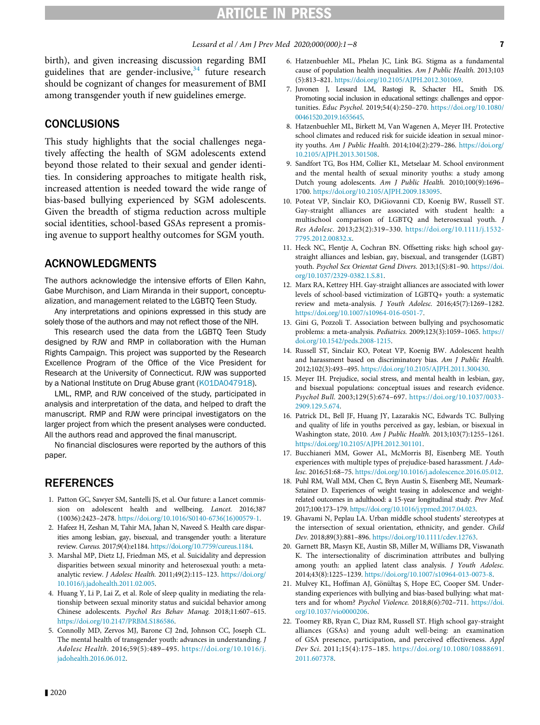# ARTICLE IN PRESS

### Lessard et al / Am J Prev Med 2020;000(000):1−8 **7**

<span id="page-6-6"></span><span id="page-6-5"></span>birth), and given increasing discussion regarding BMI guidelines that are gender-inclusive,  $34$  future research should be cognizant of changes for measurement of BMI among transgender youth if new guidelines emerge.

### <span id="page-6-7"></span>CONCLUSIONS

<span id="page-6-9"></span><span id="page-6-8"></span>This study highlights that the social challenges negatively affecting the health of SGM adolescents extend beyond those related to their sexual and gender identities. In considering approaches to mitigate health risk, increased attention is needed toward the wide range of bias-based bullying experienced by SGM adolescents. Given the breadth of stigma reduction across multiple social identities, school-based GSAs represent a promising avenue to support healthy outcomes for SGM youth.

### <span id="page-6-10"></span>ACKNOWLEDGMENTS

<span id="page-6-11"></span>The authors acknowledge the intensive efforts of Ellen Kahn, Gabe Murchison, and Liam Miranda in their support, conceptualization, and management related to the LGBTQ Teen Study.

<span id="page-6-12"></span>Any interpretations and opinions expressed in this study are solely those of the authors and may not reflect those of the NIH.

<span id="page-6-22"></span><span id="page-6-13"></span>This research used the data from the LGBTQ Teen Study designed by RJW and RMP in collaboration with the Human Rights Campaign. This project was supported by the Research Excellence Program of the Office of the Vice President for Research at the University of Connecticut. RJW was supported by a National Institute on Drug Abuse grant [\(K01DA047918](#page-6-22)).

<span id="page-6-15"></span><span id="page-6-14"></span>LML, RMP, and RJW conceived of the study, participated in analysis and interpretation of the data, and helped to draft the manuscript. RMP and RJW were principal investigators on the larger project from which the present analyses were conducted. All the authors read and approved the final manuscript.

<span id="page-6-16"></span>No financial disclosures were reported by the authors of this paper.

### <span id="page-6-17"></span><span id="page-6-0"></span>**REFERENCES**

- 1. Patton GC, Sawyer SM, Santelli JS, et al. Our future: a Lancet commission on adolescent health and wellbeing. Lancet. 2016;387 (10036):2423–2478. [https://doi.org/10.1016/S0140-6736\(16\)00579-1](https://doi.org/10.1016/S0140-6736(16)00579-1).
- <span id="page-6-18"></span><span id="page-6-1"></span>2. Hafeez H, Zeshan M, Tahir MA, Jahan N, Naveed S. Health care disparities among lesbian, gay, bisexual, and transgender youth: a literature review. Cureus. 2017;9(4):e1184. [https://doi.org/10.7759/cureus.1184.](https://doi.org/10.7759/cureus.1184)
- <span id="page-6-19"></span><span id="page-6-2"></span>3. Marshal MP, Dietz LJ, Friedman MS, et al. Suicidality and depression disparities between sexual minority and heterosexual youth: a metaanalytic review. J Adolesc Health. 2011;49(2):115-123. [https://doi.org/](https://doi.org/10.1016/j.jadohealth.2011.02.005) [10.1016/j.jadohealth.2011.02.005](https://doi.org/10.1016/j.jadohealth.2011.02.005).
- <span id="page-6-20"></span><span id="page-6-3"></span>4. Huang Y, Li P, Lai Z, et al. Role of sleep quality in mediating the relationship between sexual minority status and suicidal behavior among Chinese adolescents. Psychol Res Behav Manag. 2018;11:607–615. [https://doi.org/10.2147/PRBM.S186586.](https://doi.org/10.2147/PRBM.S186586)
- <span id="page-6-21"></span><span id="page-6-4"></span>5. Connolly MD, Zervos MJ, Barone CJ 2nd, Johnson CC, Joseph CL. The mental health of transgender youth: advances in understanding. J Adolesc Health. 2016;59(5):489–495. [https://doi.org/10.1016/j.](https://doi.org/10.1016/j.jadohealth.2016.06.012) [jadohealth.2016.06.012](https://doi.org/10.1016/j.jadohealth.2016.06.012).
- 6. Hatzenbuehler ML, Phelan JC, Link BG. Stigma as a fundamental cause of population health inequalities. Am J Public Health. 2013;103 (5):813–821. <https://doi.org/10.2105/AJPH.2012.301069>.
- 7. Juvonen J, Lessard LM, Rastogi R, Schacter HL, Smith DS. Promoting social inclusion in educational settings: challenges and opportunities. Educ Psychol. 2019;54(4):250–270. [https://doi.org/10.1080/](https://doi.org/10.1080/00461520.2019.1655645) [00461520.2019.1655645](https://doi.org/10.1080/00461520.2019.1655645).
- 8. Hatzenbuehler ML, Birkett M, Van Wagenen A, Meyer IH. Protective school climates and reduced risk for suicide ideation in sexual minority youths. Am J Public Health. 2014;104(2):279–286. [https://doi.org/](https://doi.org/10.2105/AJPH.2013.301508) [10.2105/AJPH.2013.301508.](https://doi.org/10.2105/AJPH.2013.301508)
- 9. Sandfort TG, Bos HM, Collier KL, Metselaar M. School environment and the mental health of sexual minority youths: a study among Dutch young adolescents. Am J Public Health. 2010;100(9):1696– 1700. [https://doi.org/10.2105/AJPH.2009.183095.](https://doi.org/10.2105/AJPH.2009.183095)
- 10. Poteat VP, Sinclair KO, DiGiovanni CD, Koenig BW, Russell ST. Gay-straight alliances are associated with student health: a multischool comparison of LGBTQ and heterosexual youth. J Res Adolesc. 2013;23(2):319–330. [https://doi.org/10.1111/j.1532-](https://doi.org/10.1111/j.1532-7795.2012.00832.x) [7795.2012.00832.x.](https://doi.org/10.1111/j.1532-7795.2012.00832.x)
- 11. Heck NC, Flentje A, Cochran BN. Offsetting risks: high school gaystraight alliances and lesbian, gay, bisexual, and transgender (LGBT) youth. Psychol Sex Orientat Gend Divers. 2013;1(S):81–90. [https://doi.](https://doi.org/10.1037/2329-0382.1.S.81) [org/10.1037/2329-0382.1.S.81](https://doi.org/10.1037/2329-0382.1.S.81).
- 12. Marx RA, Kettrey HH. Gay-straight alliances are associated with lower levels of school-based victimization of LGBTQ+ youth: a systematic review and meta-analysis. J Youth Adolesc. 2016;45(7):1269–1282. [https://doi.org/10.1007/s10964-016-0501-7.](https://doi.org/10.1007/s10964-016-0501-7)
- 13. Gini G, Pozzoli T. Association between bullying and psychosomatic problems: a meta-analysis. Pediatrics. 2009;123(3):1059–1065. [https://](https://doi.org/10.1542/peds.2008-1215) [doi.org/10.1542/peds.2008-1215](https://doi.org/10.1542/peds.2008-1215).
- 14. Russell ST, Sinclair KO, Poteat VP, Koenig BW. Adolescent health and harassment based on discriminatory bias. Am J Public Health. 2012;102(3):493–495. [https://doi.org/10.2105/AJPH.2011.300430.](https://doi.org/10.2105/AJPH.2011.300430)
- 15. Meyer IH. Prejudice, social stress, and mental health in lesbian, gay, and bisexual populations: conceptual issues and research evidence. Psychol Bull. 2003;129(5):674–697. [https://doi.org/10.1037/0033-](https://doi.org/10.1037/0033-2909.129.5.674) [2909.129.5.674](https://doi.org/10.1037/0033-2909.129.5.674).
- 16. Patrick DL, Bell JF, Huang JY, Lazarakis NC, Edwards TC. Bullying and quality of life in youths perceived as gay, lesbian, or bisexual in Washington state, 2010. Am J Public Health. 2013;103(7):1255–1261. [https://doi.org/10.2105/AJPH.2012.301101.](https://doi.org/10.2105/AJPH.2012.301101)
- 17. Bucchianeri MM, Gower AL, McMorris BJ, Eisenberg ME. Youth experiences with multiple types of prejudice-based harassment. J Adolesc. 2016;51:68–75. <https://doi.org/10.1016/j.adolescence.2016.05.012>.
- 18. Puhl RM, Wall MM, Chen C, Bryn Austin S, Eisenberg ME, Neumark-Sztainer D. Experiences of weight teasing in adolescence and weightrelated outcomes in adulthood: a 15-year longitudinal study. Prev Med. 2017;100:173–179. <https://doi.org/10.1016/j.ypmed.2017.04.023>.
- 19. Ghavami N, Peplau LA. Urban middle school students' stereotypes at the intersection of sexual orientation, ethnicity, and gender. Child Dev. 2018;89(3):881–896. <https://doi.org/10.1111/cdev.12763>.
- 20. Garnett BR, Masyn KE, Austin SB, Miller M, Williams DR, Viswanath K. The intersectionality of discrimination attributes and bullying among youth: an applied latent class analysis. J Youth Adolesc. 2014;43(8):1225–1239. [https://doi.org/10.1007/s10964-013-0073-8.](https://doi.org/10.1007/s10964-013-0073-8)
- 21. Mulvey KL, Hoffman AJ, Gönültaş S, Hope EC, Cooper SM. Understanding experiences with bullying and bias-based bullying: what matters and for whom? Psychol Violence. 2018;8(6):702–711. [https://doi.](https://doi.org/10.1037/vio0000206) [org/10.1037/vio0000206](https://doi.org/10.1037/vio0000206).
- 22. Toomey RB, Ryan C, Diaz RM, Russell ST. High school gay-straight alliances (GSAs) and young adult well-being: an examination of GSA presence, participation, and perceived effectiveness. Appl Dev Sci. 2011;15(4):175–185. [https://doi.org/10.1080/10888691.](https://doi.org/10.1080/10888691.2011.607378) [2011.607378](https://doi.org/10.1080/10888691.2011.607378).